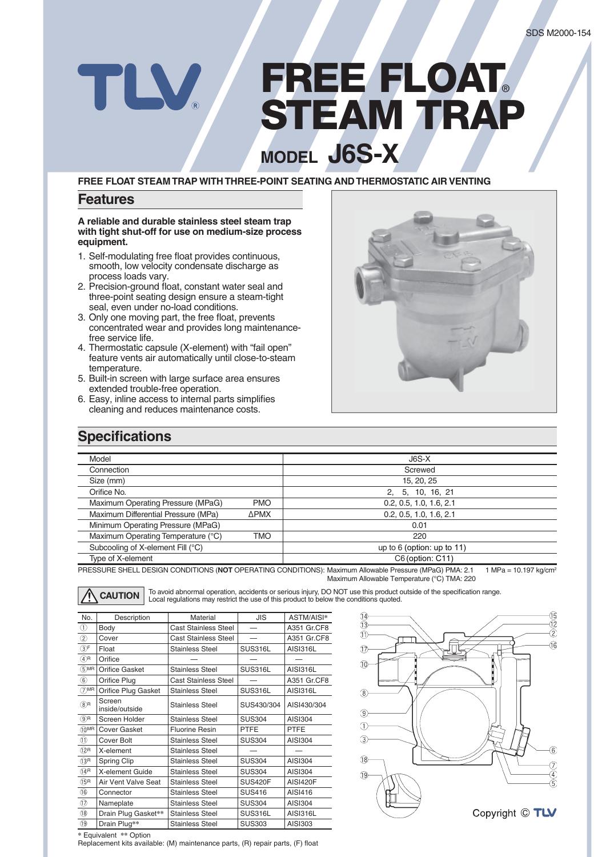# **FREE FLOAT®** TLV **STEAM TRAP MODEL J6S-X**

**FREE FLOAT STEAM TRAP WITH THREE-POINT SEATING AND THERMOSTATIC AIR VENTING**

#### **Features**

**A reliable and durable stainless steel steam trap with tight shut-off for use on medium-size process equipment.** 

- 1. Self-modulating free float provides continuous, smooth, low velocity condensate discharge as process loads vary.
- 2. Precision-ground float, constant water seal and three-point seating design ensure a steam-tight seal, even under no-load conditions.
- 3. Only one moving part, the free float, prevents concentrated wear and provides long maintenancefree service life.
- 4. Thermostatic capsule (X-element) with "fail open" feature vents air automatically until close-to-steam temperature.
- 5. Built-in screen with large surface area ensures extended trouble-free operation.
- 6. Easy, inline access to internal parts simplifies cleaning and reduces maintenance costs.



### **Specifications**

| Model                               |             | $J6S-X$                      |  |
|-------------------------------------|-------------|------------------------------|--|
| Connection                          |             | Screwed                      |  |
| Size (mm)                           |             | 15, 20, 25                   |  |
| Orifice No.                         |             | 5, 10, 16, 21<br>2.          |  |
| Maximum Operating Pressure (MPaG)   | <b>PMO</b>  | 0.2, 0.5, 1.0, 1.6, 2.1      |  |
| Maximum Differential Pressure (MPa) | <b>APMX</b> | 0.2, 0.5, 1.0, 1.6, 2.1      |  |
| Minimum Operating Pressure (MPaG)   |             | 0.01                         |  |
| Maximum Operating Temperature (°C)  | <b>TMO</b>  | 220                          |  |
| Subcooling of X-element Fill (°C)   |             | up to $6$ (option: up to 11) |  |
| Type of X-element                   |             | C6 (option: C11)             |  |

PRESSURE SHELL DESIGN CONDITIONS (NOT OPERATING CONDITIONS): Maximum Allowable Pressure (MPaG) PMA: 2.1 1 MPa = 10.197 kg/cm<sup>2</sup> Maximum Allowable Temperature (°C) TMA: 220

**CAUTION** To avoid abnormal operation, accidents or serious injury, DO NOT use this product outside of the specification range.<br>
Local regulations may restrict the use of this product to below the conditions quoted.

| No.                                 | Description              | Material<br>JIS                   |                | ASTM/AISI*      |
|-------------------------------------|--------------------------|-----------------------------------|----------------|-----------------|
| ➀                                   | Body                     | <b>Cast Stainless Steel</b>       |                | A351 Gr.CF8     |
| $^{\circledR}$                      | Cover                    | <b>Cast Stainless Steel</b>       |                | A351 Gr.CF8     |
| $\circled{3}^{\mathsf{F}}$          | Float                    | SUS316L<br><b>Stainless Steel</b> |                | <b>AISI316L</b> |
| $\overline{\textcircled{\tiny A}}$  | Orifice                  |                                   |                |                 |
| $(5)$ MR                            | <b>Orifice Gasket</b>    | <b>Stainless Steel</b>            | <b>SUS316L</b> | <b>AISI316L</b> |
| $^{\circ}$                          | Orifice Plug             | <b>Cast Stainless Steel</b>       |                | A351 Gr.CF8     |
| $(7)$ MR                            | Orifice Plug Gasket      | <b>Stainless Steel</b>            | <b>SUS316L</b> | <b>AISI316L</b> |
| $(8)$ R                             | Screen<br>inside/outside | <b>Stainless Steel</b>            | SUS430/304     | AISI430/304     |
| $\circledcirc$ R                    | Screen Holder            | <b>Stainless Steel</b>            | <b>SUS304</b>  | AISI304         |
| $(10)$ MR                           | <b>Cover Gasket</b>      | <b>Fluorine Resin</b>             | <b>PTFE</b>    | <b>PTFE</b>     |
| $^{\textcircled{\footnotesize{1}}}$ | Cover Bolt               | <b>Stainless Steel</b>            | <b>SUS304</b>  | AISI304         |
| $(12)$ R                            | X-element                | <b>Stainless Steel</b>            |                |                 |
| $(3)$ R                             | Spring Clip              | <b>Stainless Steel</b>            | <b>SUS304</b>  | AISI304         |
| $(14)$ R                            | X-element Guide          | <b>Stainless Steel</b>            | <b>SUS304</b>  | AISI304         |
| $(3)$ R                             | Air Vent Valve Seat      | <b>Stainless Steel</b>            | <b>SUS420F</b> | <b>AISI420F</b> |
| $\circledR$                         | Connector                | <b>Stainless Steel</b>            | <b>SUS416</b>  | AISI416         |
| $^{\circledR}$                      | Nameplate                | <b>Stainless Steel</b>            | <b>SUS304</b>  | AISI304         |
| $\circledR$                         | Drain Plug Gasket**      | <b>Stainless Steel</b>            | SUS316L        | <b>AISI316L</b> |
| $\overline{19}$                     | Drain Plug**             | <b>Stainless Steel</b>            | <b>SUS303</b>  | AISI303         |



**\*** Equivalent **\*\*** Option

Replacement kits available: (M) maintenance parts, (R) repair parts, (F) float